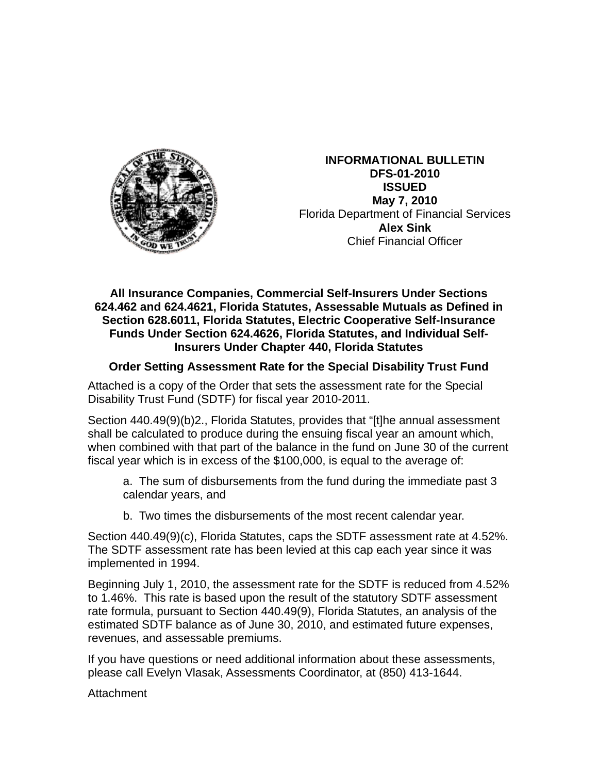

**INFORMATIONAL BULLETIN DFS-01-2010 ISSUED May 7, 2010**  Florida Department of Financial Services **Alex Sink** Chief Financial Officer

## **All Insurance Companies, Commercial Self-Insurers Under Sections 624.462 and 624.4621, Florida Statutes, Assessable Mutuals as Defined in Section 628.6011, Florida Statutes, Electric Cooperative Self-Insurance Funds Under Section 624.4626, Florida Statutes, and Individual Self-Insurers Under Chapter 440, Florida Statutes**

## **Order Setting Assessment Rate for the Special Disability Trust Fund**

Attached is a copy of the Order that sets the assessment rate for the Special Disability Trust Fund (SDTF) for fiscal year 2010-2011.

Section 440.49(9)(b)2., Florida Statutes, provides that "[t]he annual assessment shall be calculated to produce during the ensuing fiscal year an amount which, when combined with that part of the balance in the fund on June 30 of the current fiscal year which is in excess of the \$100,000, is equal to the average of:

a. The sum of disbursements from the fund during the immediate past 3 calendar years, and

b. Two times the disbursements of the most recent calendar year.

Section 440.49(9)(c), Florida Statutes, caps the SDTF assessment rate at 4.52%. The SDTF assessment rate has been levied at this cap each year since it was implemented in 1994.

Beginning July 1, 2010, the assessment rate for the SDTF is reduced from 4.52% to 1.46%. This rate is based upon the result of the statutory SDTF assessment rate formula, pursuant to Section 440.49(9), Florida Statutes, an analysis of the estimated SDTF balance as of June 30, 2010, and estimated future expenses, revenues, and assessable premiums.

If you have questions or need additional information about these assessments, please call Evelyn Vlasak, Assessments Coordinator, at (850) 413-1644.

Attachment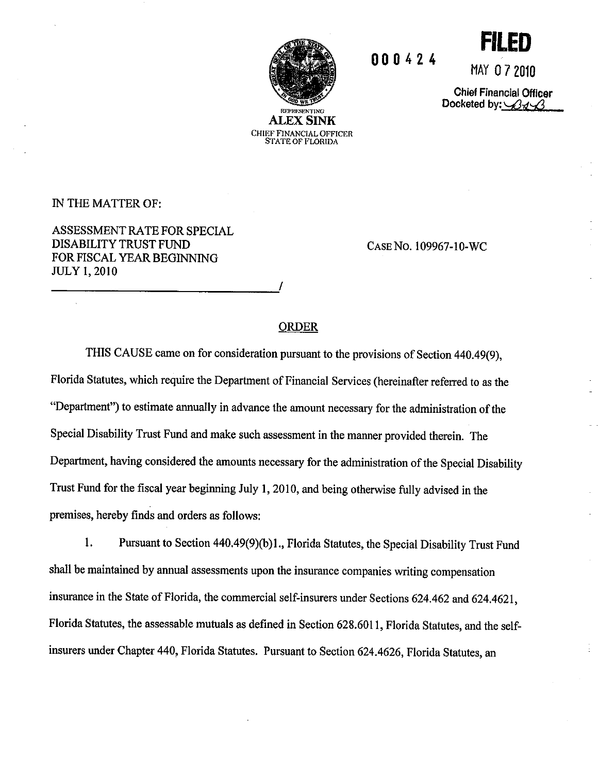

CHIEF FINANCIAL OFFICER **STATE OF FLORIDA** 

000424

MAY 07 2010 **Chief Financial Officer** 

Docketed by:  $\mathscr{B}$ <sub> $\mathscr{A}$ </sub>

IN THE MATTER OF:

ASSESSMENT RATE FOR SPECIAL DISABILITY TRUST FUND FOR FISCAL YEAR BEGINNING **JULY 1, 2010** 

CASE No. 109967-10-WC

## **ORDER**

THIS CAUSE came on for consideration pursuant to the provisions of Section 440.49(9), Florida Statutes, which require the Department of Financial Services (hereinafter referred to as the "Department") to estimate annually in advance the amount necessary for the administration of the Special Disability Trust Fund and make such assessment in the manner provided therein. The Department, having considered the amounts necessary for the administration of the Special Disability Trust Fund for the fiscal year beginning July 1, 2010, and being otherwise fully advised in the premises, hereby finds and orders as follows:

1. Pursuant to Section 440.49(9)(b)1., Florida Statutes, the Special Disability Trust Fund shall be maintained by annual assessments upon the insurance companies writing compensation insurance in the State of Florida, the commercial self-insurers under Sections 624.462 and 624.4621, Florida Statutes, the assessable mutuals as defined in Section 628.6011, Florida Statutes, and the selfinsurers under Chapter 440, Florida Statutes. Pursuant to Section 624.4626, Florida Statutes, an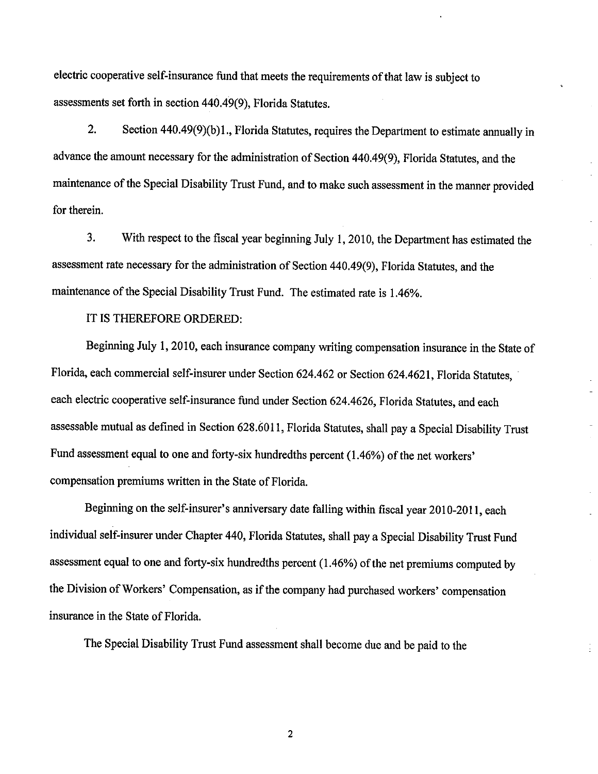electric cooperative self-insurance fund that meets the requirements of that law is subject to assessments set forth in section 440.49(9), Florida Statutes.

 $2.$ Section 440.49(9)(b)1., Florida Statutes, requires the Department to estimate annually in advance the amount necessary for the administration of Section 440.49(9), Florida Statutes, and the maintenance of the Special Disability Trust Fund, and to make such assessment in the manner provided for therein.

 $3.$ With respect to the fiscal year beginning July 1, 2010, the Department has estimated the assessment rate necessary for the administration of Section 440.49(9), Florida Statutes, and the maintenance of the Special Disability Trust Fund. The estimated rate is 1.46%.

IT IS THEREFORE ORDERED:

Beginning July 1, 2010, each insurance company writing compensation insurance in the State of Florida, each commercial self-insurer under Section 624.462 or Section 624.4621, Florida Statutes, each electric cooperative self-insurance fund under Section 624.4626, Florida Statutes, and each assessable mutual as defined in Section 628.6011, Florida Statutes, shall pay a Special Disability Trust Fund assessment equal to one and forty-six hundredths percent (1.46%) of the net workers' compensation premiums written in the State of Florida.

Beginning on the self-insurer's anniversary date falling within fiscal year 2010-2011, each individual self-insurer under Chapter 440, Florida Statutes, shall pay a Special Disability Trust Fund assessment equal to one and forty-six hundredths percent (1.46%) of the net premiums computed by the Division of Workers' Compensation, as if the company had purchased workers' compensation insurance in the State of Florida.

The Special Disability Trust Fund assessment shall become due and be paid to the

 $\overline{c}$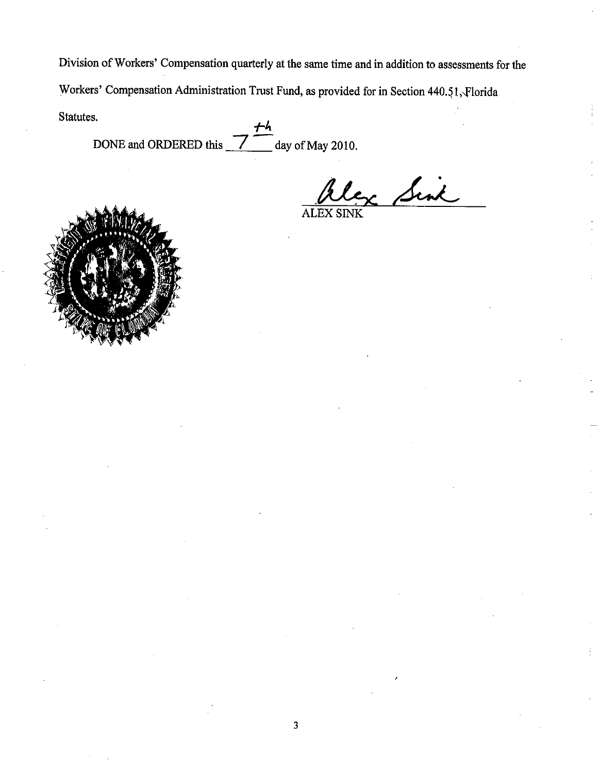Division of Workers' Compensation quarterly at the same time and in addition to assessments for the Workers' Compensation Administration Trust Fund, as provided for in Section 440.51, Florida Statutes.

 $\frac{7}{2}$  day of May 2010. DONE and ORDERED this

c Sink